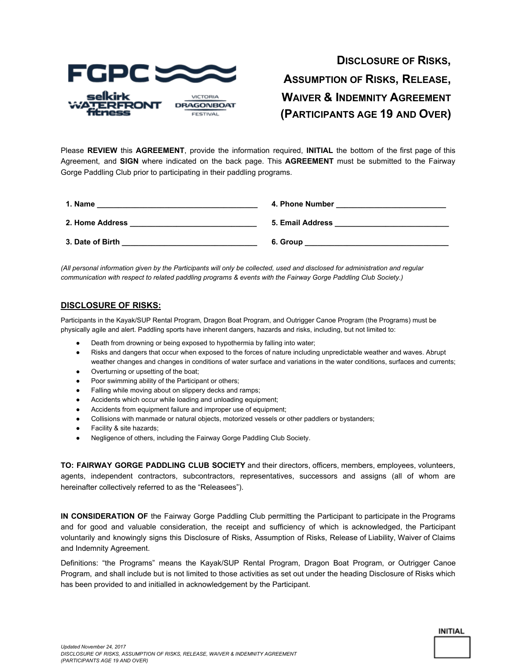

# **DISCLOSURE OF RISKS, ASSUMPTION OF RISKS, RELEASE, WAIVER & INDEMNITY AGREEMENT (PARTICIPANTS AGE 19 AND OVER)**

Please **REVIEW** this **AGREEMENT**, provide the information required, **INITIAL** the bottom of the first page of this Agreement, and **SIGN** where indicated on the back page. This **AGREEMENT** must be submitted to the Fairway Gorge Paddling Club prior to participating in their paddling programs.

| 1. Name          | 4. Phone Number  |
|------------------|------------------|
| 2. Home Address  | 5. Email Address |
| 3. Date of Birth | 6. Group         |

(All personal information given by the Participants will only be collected, used and disclosed for administration and regular *communication with respect to related paddling programs & events with the Fairway Gorge Paddling Club Society.)*

### **DISCLOSURE OF RISKS:**

Participants in the Kayak/SUP Rental Program, Dragon Boat Program, and Outrigger Canoe Program (the Programs) must be physically agile and alert. Paddling sports have inherent dangers, hazards and risks, including, but not limited to:

- Death from drowning or being exposed to hypothermia by falling into water;
- Risks and dangers that occur when exposed to the forces of nature including unpredictable weather and waves. Abrupt weather changes and changes in conditions of water surface and variations in the water conditions, surfaces and currents;
- Overturning or upsetting of the boat;
- Poor swimming ability of the Participant or others;
- Falling while moving about on slippery decks and ramps;
- Accidents which occur while loading and unloading equipment;
- Accidents from equipment failure and improper use of equipment;
- Collisions with manmade or natural objects, motorized vessels or other paddlers or bystanders;
- Facility & site hazards;
- Negligence of others, including the Fairway Gorge Paddling Club Society.

**TO: FAIRWAY GORGE PADDLING CLUB SOCIETY** and their directors, officers, members, employees, volunteers, agents, independent contractors, subcontractors, representatives, successors and assigns (all of whom are hereinafter collectively referred to as the "Releasees").

**IN CONSIDERATION OF** the Fairway Gorge Paddling Club permitting the Participant to participate in the Programs and for good and valuable consideration, the receipt and sufficiency of which is acknowledged, the Participant voluntarily and knowingly signs this Disclosure of Risks, Assumption of Risks, Release of Liability, Waiver of Claims and Indemnity Agreement.

Definitions: "the Programs" means the Kayak/SUP Rental Program, Dragon Boat Program, or Outrigger Canoe Program, and shall include but is not limited to those activities as set out under the heading Disclosure of Risks which has been provided to and initialled in acknowledgement by the Participant.

**INITIAL**